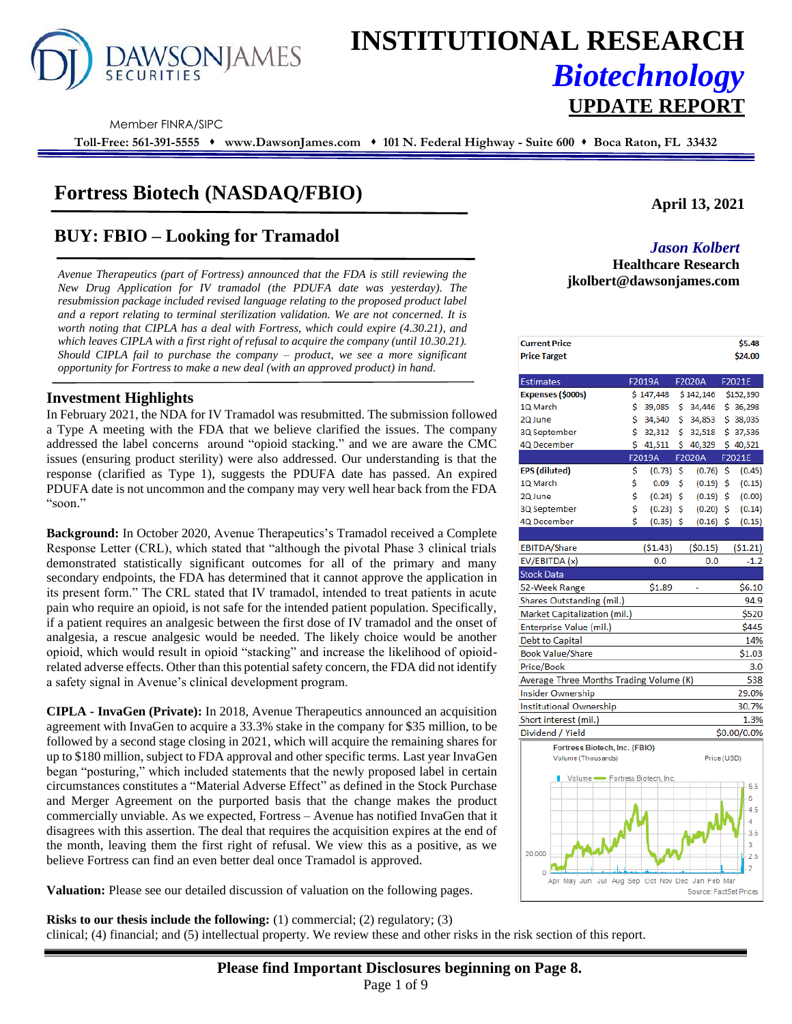

# **INSTITUTIONAL RESEARCH** *Biotechnology*

Member FINRA/SIPC

**Toll-Free: 561-391-5555** ⬧ **www.DawsonJames.com** ⬧ **101 N. Federal Highway - Suite 600** ⬧ **Boca Raton, FL 33432**

### **Fortress Biotech (NASDAQ/FBIO)**

# **BUY: FBIO – Looking for Tramadol** *Jason Kolbert*

*Avenue Therapeutics (part of Fortress) announced that the FDA is still reviewing the New Drug Application for IV tramadol (the PDUFA date was yesterday). The resubmission package included revised language relating to the proposed product label and a report relating to terminal sterilization validation. We are not concerned. It is worth noting that CIPLA has a deal with Fortress, which could expire (4.30.21), and which leaves CIPLA with a first right of refusal to acquire the company (until 10.30.21). Should CIPLA fail to purchase the company – product, we see a more significant opportunity for Fortress to make a new deal (with an approved product) in hand.*

#### **Investment Highlights**

In February 2021, the NDA for IV Tramadol was resubmitted. The submission followed a Type A meeting with the FDA that we believe clarified the issues. The company addressed the label concerns around "opioid stacking." and we are aware the CMC issues (ensuring product sterility) were also addressed. Our understanding is that the response (clarified as Type 1), suggests the PDUFA date has passed. An expired PDUFA date is not uncommon and the company may very well hear back from the FDA "soon."

**Background:** In October 2020, Avenue Therapeutics's Tramadol received a Complete Response Letter (CRL), which stated that "although the pivotal Phase 3 clinical trials demonstrated statistically significant outcomes for all of the primary and many secondary endpoints, the FDA has determined that it cannot approve the application in its present form." The CRL stated that IV tramadol, intended to treat patients in acute pain who require an opioid, is not safe for the intended patient population. Specifically, if a patient requires an analgesic between the first dose of IV tramadol and the onset of analgesia, a rescue analgesic would be needed. The likely choice would be another opioid, which would result in opioid "stacking" and increase the likelihood of opioidrelated adverse effects. Other than this potential safety concern, the FDA did not identify a safety signal in Avenue's clinical development program.

**CIPLA - InvaGen (Private):** In 2018, Avenue Therapeutics announced an acquisition agreement with InvaGen to acquire a 33.3% stake in the company for \$35 million, to be followed by a second stage closing in 2021, which will acquire the remaining shares for up to \$180 million, subject to FDA approval and other specific terms. Last year InvaGen began "posturing," which included statements that the newly proposed label in certain circumstances constitutes a "Material Adverse Effect" as defined in the Stock Purchase and Merger Agreement on the purported basis that the change makes the product commercially unviable. As we expected, Fortress – Avenue has notified InvaGen that it disagrees with this assertion. The deal that requires the acquisition expires at the end of the month, leaving them the first right of refusal. We view this as a positive, as we believe Fortress can find an even better deal once Tramadol is approved.

**Valuation:** Please see our detailed discussion of valuation on the following pages.

**Risks to our thesis include the following:** (1) commercial; (2) regulatory; (3)

clinical; (4) financial; and (5) intellectual property. We review these and other risks in the risk section of this report.

#### **April 13, 2021**

## **Healthcare Research jkolbert@dawsonjames.com**

| <b>Current Price</b>                            |    |             |     |                        |    | \$5.48      |
|-------------------------------------------------|----|-------------|-----|------------------------|----|-------------|
| <b>Price Target</b>                             |    |             |     |                        |    | \$24.00     |
|                                                 |    |             |     |                        |    |             |
| <b>Estimates</b>                                |    | F2019A      |     | F2020A                 |    | F2021E      |
| Expenses (\$000s)                               |    | \$147,448   |     | \$142,146              |    | \$152,390   |
| 1Q March                                        | \$ | 39,085      | \$. | 34,446                 |    | \$36,298    |
| 2Q June                                         | \$ | 34,540      | \$  | 34,853                 |    | \$38,035    |
| 3Q September                                    | Ś  | 32,312      | Ś   | 32,518                 |    | \$37,536    |
| 4Q December                                     | \$ | 41,511      | \$  | 40,329                 |    | \$40,521    |
|                                                 |    | F2019A      |     | F2020A                 |    | F2021E      |
| <b>EPS</b> (diluted)                            | \$ | (0.73)      | \$  | (0.76)                 | \$ | (0.45)      |
| 1Q March                                        | \$ | 0.09        | \$  | (0.19)                 | \$ | (0.15)      |
| 2Q June                                         | \$ | (0.24)      | \$  | (0.19)                 | \$ | (0.00)      |
| 3Q September                                    | \$ | (0.23)      | \$  | (0.20)                 | \$ | (0.14)      |
| 4Q December                                     | Ś  | $(0.35)$ \$ |     | (0.16)                 | Ś  | (0.15)      |
|                                                 |    |             |     |                        |    |             |
| EBITDA/Share                                    |    | ( \$1.43)   |     | (50.15)                |    | (\$1.21)    |
| EV/EBITDA (x)                                   |    | 0.0         |     | 0.0                    |    | $-1.2$      |
| <b>Stock Data</b>                               |    |             |     |                        |    |             |
| 52-Week Range                                   |    | \$1.89      |     | ä,                     |    | \$6.10      |
| Shares Outstanding (mil.)                       |    |             |     |                        |    | 94.9        |
| Market Capitalization (mil.)                    |    |             |     |                        |    | \$520       |
| Enterprise Value (mil.)                         |    |             |     |                        |    | \$445       |
| Debt to Capital                                 |    |             |     |                        |    | 14%         |
| <b>Book Value/Share</b>                         |    |             |     |                        |    | \$1.03      |
| Price/Book                                      |    |             |     |                        |    | 3.0         |
| Average Three Months Trading Volume (K)         |    |             |     |                        |    | 538         |
| <b>Insider Ownership</b>                        |    |             |     |                        |    | 29.0%       |
| <b>Institutional Ownership</b>                  |    |             |     |                        |    | 30.7%       |
| Short interest (mil.)                           |    |             |     |                        |    | 1.3%        |
| Dividend / Yield                                |    |             |     |                        |    | \$0.00/0.0% |
| Fortress Biotech, Inc. (FBIO)                   |    |             |     |                        |    |             |
| Volume (Thousands)                              |    |             |     | Price (USD)            |    |             |
|                                                 |    |             |     |                        |    |             |
| Volume - Fortress Biotech, Inc.                 |    |             |     |                        |    | 5.5         |
|                                                 |    |             |     |                        |    | 5           |
|                                                 |    |             |     |                        |    | 4.5         |
|                                                 |    |             |     |                        |    | 4           |
|                                                 |    |             |     |                        |    | 3.5         |
|                                                 |    |             |     |                        |    | 3           |
| 20,000                                          |    |             |     |                        |    | 2.5         |
|                                                 |    |             |     |                        |    | 2           |
| Apr May Jun Jul Aug Sep Oct Nov Dec Jan Feb Mar |    |             |     |                        |    |             |
|                                                 |    |             |     | Source: FactSet Prices |    |             |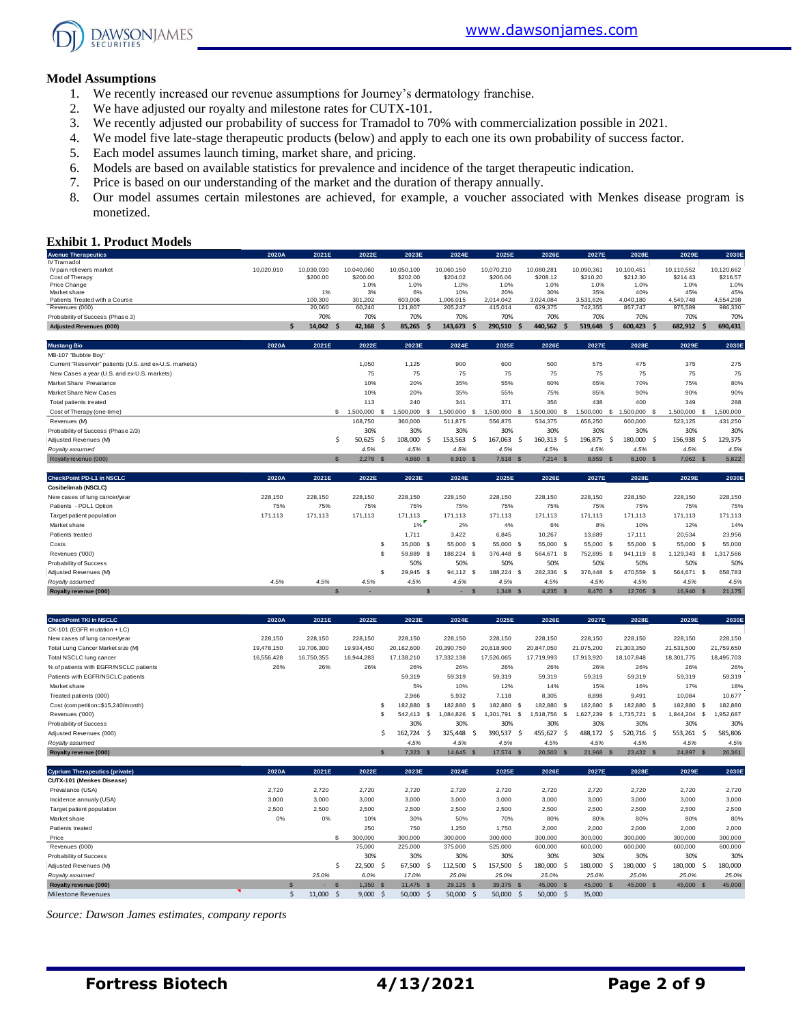

#### **Model Assumptions**

- 1. We recently increased our revenue assumptions for Journey's dermatology franchise.
- 2. We have adjusted our royalty and milestone rates for CUTX-101.
- 3. We recently adjusted our probability of success for Tramadol to 70% with commercialization possible in 2021.
- 4. We model five late-stage therapeutic products (below) and apply to each one its own probability of success factor.
- 5. Each model assumes launch timing, market share, and pricing.
- 6. Models are based on available statistics for prevalence and incidence of the target therapeutic indication.
- 7. Price is based on our understanding of the market and the duration of therapy annually.
- 8. Our model assumes certain milestones are achieved, for example, a voucher associated with Menkes disease program is monetized.

#### **Exhibit 1. Product Models**

| <b>Avenue Therapeutics</b>                              | 2020A      | 2021E              | 2022E         | 2023E            | 2024E            | 2025E            | 2026E                   | 2027E            | 2028E               | 2029E            | 2030E            |
|---------------------------------------------------------|------------|--------------------|---------------|------------------|------------------|------------------|-------------------------|------------------|---------------------|------------------|------------------|
| IV Tramadol                                             |            |                    |               |                  |                  |                  |                         |                  |                     |                  |                  |
| IV pain relievers market                                | 10.020.010 | 10.030.030         | 10.040.060    | 10.050.100       | 10,060,150       | 10,070,210       | 10,080,281              | 10,090,361       | 10.100.451          | 10.110.552       | 10.120.662       |
| Cost of Therapy                                         |            | \$200.00           | \$200.00      | \$202.00         | \$204.02         | \$206.06         | \$208.12                | \$210.20         | \$212.30            | \$214.43         | \$216.57         |
| Price Change                                            |            |                    | 1.0%          | 1.0%             | 1.0%             | 1.0%             | 1.0%                    | 1.0%             | 1.0%                | 1.0%             | 1.0%             |
| Market share<br>Patients Treated with a Course          |            | 1%<br>100,300      | 3%<br>301,202 | 6%<br>603,006    | 10%<br>1,006,015 | 20%<br>2,014,042 | 30%<br>3,024,084        | 35%<br>3,531,626 | 40%<br>4,040,180    | 45%<br>4,549,748 | 45%<br>4,554,298 |
| Revenues (000)                                          |            | 20,060             | 60,240        | 121,807          | 205,247          | 415,014          | 629,375                 | 742,355          | 857,747             | 975,589          | 986,330          |
| Probability of Success (Phase 3)                        |            | 70%                | 70%           | 70%              | 70%              | 70%              | 70%                     | 70%              | 70%                 | 70%              | 70%              |
| <b>Adjusted Revenues (000)</b>                          |            | 14,042<br><b>S</b> | $42,168$ \$   | 85,265<br>S      | 143,673<br>-S    | 290,510          | 440,562<br>- S          | 519,648          | 600,423 \$<br>-S    | 682,912          | 690,431<br>- S   |
|                                                         |            |                    |               |                  |                  |                  |                         |                  |                     |                  |                  |
| <b>Mustang Bio</b>                                      | 2020A      | 2021E              | 2022E         | 2023E            | 2024E            | 2025E            | 2026E                   | 2027E            | 2028E               | 2029E            | 2030E            |
| MB-107 "Bubble Boy"                                     |            |                    |               |                  |                  |                  |                         |                  |                     |                  |                  |
| Current "Reservoir" patients (U.S. and ex-U.S. markets) |            |                    | 1,050         | 1.125            | 900              | 600              | 500                     | 575              | 475                 | 375              | 275              |
| New Cases a year (U.S. and ex-U.S. markets)             |            |                    | 75            | 75               | 75               | 75               | 75                      | 75               | 75                  | 75               | 75               |
| Market Share Prevalance                                 |            |                    | 10%           | 20%              | 35%              | 55%              | 60%                     | 65%              | 70%                 | 75%              | 80%              |
| Market Share New Cases                                  |            |                    | 10%           | 20%              | 35%              | 55%              | 75%                     | 85%              | 90%                 | 90%              | 90%              |
| Total patients treated                                  |            |                    | 113           | 240              | 341              | 371              | 356                     | 438              | 400                 | 349              | 288              |
| Cost of Therapy (one-time)                              |            | S.                 | 1,500,000     | 1,500,000<br>- S | 1,500,000<br>-S  | 1,500,000        | 1,500,000<br>- \$<br>-9 | 1,500,000        | -\$<br>1,500,000 \$ | 1,500,000 \$     | 1,500,000        |
| Revenues (M)                                            |            |                    | 168,750       | 360,000          | 511,875          | 556,875          | 534,375                 | 656,250          | 600,000             | 523,125          | 431,250          |
| Probability of Success (Phase 2/3)                      |            |                    | 30%           | 30%              | 30%              | 30%              | 30%                     | 30%              | 30%                 | 30%              | 30%              |
| Adjusted Revenues (M)                                   |            | .S                 | 50,625<br>-S  | 108,000<br>ŗ.    | 153,563<br>- S   | 167,063          | 160,313<br>- S          | 196,875<br>-Ś    | 180,000 \$<br>- S   | 156,938          | 129,375<br>- S   |
| Royalty assumed                                         |            |                    | 4.5%          | 4.5%             | 4.5%             | 4.5%             | 4.5%                    | 4.5%             | 4.5%                | 4.5%             | 4.5%             |
| Royalty revenue (000)                                   |            | $\mathbf{s}$       | $2,278$ \$    | 4,860 \$         | 6,910 \$         | 7,518 \$         | $7,214$ \$              | 8,859 \$         | 8,100 \$            | 7,062 \$         | 5,822            |
|                                                         |            |                    |               |                  |                  |                  |                         |                  |                     |                  |                  |
| <b>CheckPoint PD-L1 in NSCLC</b>                        | 2020A      | 2021E              | 2022E         | 2023E            | 2024E            | 2025E            | 2026E                   | 2027E            | 2028E               | 2029E            | 2030E            |
| Cosibelimab (NSCLC)                                     |            |                    |               |                  |                  |                  |                         |                  |                     |                  |                  |
| New cases of lung cancer/year                           | 228,150    | 228,150            | 228,150       | 228,150          | 228,150          | 228,150          | 228,150                 | 228,150          | 228,150             | 228,150          | 228,150          |
| Patients - PDL1 Option                                  | 75%        | 75%                | 75%           | 75%              | 75%              | 75%              | 75%                     | 75%              | 75%                 | 75%              | 75%              |
| Target patient population                               | 171,113    | 171.113            | 171.113       | 171.113          | 171.113          | 171,113          | 171,113                 | 171.113          | 171.113             | 171,113          | 171.113          |
| Market share                                            |            |                    |               | 1%               | 2%               | 4%               | 6%                      | 8%               | 10%                 | 12%              | 14%              |
| Patients treated                                        |            |                    |               | 1,711            | 3,422            | 6,845            | 10,267                  | 13,689           | 17.111              | 20,534           | 23,956           |
| Costs                                                   |            |                    |               | 35,000 \$        | 55,000 \$        | 55,000 \$        | 55,000 \$               | 55,000 \$        | 55,000 \$           | 55,000 \$        | 55,000           |
| Revenues ('000)                                         |            |                    |               | 59,889 \$        | 188,224 \$       | 376,448          | 564,671 \$<br>- S       | 752,895          | 941.119 \$<br>- \$  | 1,129,343 \$     | 1,317,566        |
| <b>Probability of Success</b>                           |            |                    |               | 50%              | 50%              | 50%              | 50%                     | 50%              | 50%                 | 50%              | 50%              |

| <b>CheckPoint TKI in NSCLC</b>         | 2020A      | 2021E      | 2022E      | 2023E          | 2024E          | 2025E          | 2026E           | 2027E           | 2028E             | 2029E      | 2030E                  |
|----------------------------------------|------------|------------|------------|----------------|----------------|----------------|-----------------|-----------------|-------------------|------------|------------------------|
| CK-101 (EGFR mutation + LC)            |            |            |            |                |                |                |                 |                 |                   |            |                        |
| New cases of lung cancer/year          | 228,150    | 228,150    | 228,150    | 228,150        | 228,150        | 228,150        | 228,150         | 228,150         | 228,150           | 228,150    | 228,150                |
| Total Lung Cancer Market size (M)      | 19,478,150 | 19,706,300 | 19,934,450 | 20,162,600     | 20,390,750     | 20,618,900     | 20,847,050      | 21,075,200      | 21,303,350        | 21,531,500 | 21,759,650             |
| Total NSCLC lung cancer                | 16,556,428 | 16,750,355 | 16,944,283 | 17,138,210     | 17,332,138     | 17,526,065     | 17,719,993      | 17,913,920      | 18,107,848        | 18,301,775 | 18,495,703             |
| % of patients with EGFR/NSCLC patients | 26%        | 26%        | 26%        | 26%            | 26%            | 26%            | 26%             | 26%             | 26%               | 26%        | 26%                    |
| Patients with EGFR/NSCLC patients      |            |            |            | 59,319         | 59,319         | 59,319         | 59,319          | 59,319          | 59,319            | 59,319     | 59,319                 |
| Market share                           |            |            |            | 5%             | 10%            | 12%            | 14%             | 15%             | 16%               | 17%        | 18%                    |
| Treated patients (000)                 |            |            |            | 2,966          | 5,932          | 7.118          | 8,305           | 8,898           | 9.491             | 10,084     | 10,677                 |
| Cost (competition=\$15,240/month)      |            |            |            | 182,880<br>- S | 182,880 \$     | 182,880 \$     | 182,880         | 182,880<br>- \$ | 182,880 \$<br>-9  | 182,880 \$ | 182,880                |
| Revenues ('000)                        |            |            |            | 542.413        | .084.826<br>.s | .301.791<br>-S | .518.756<br>-53 | .627.239        | S<br>735.721 \$   | 1,844,204  | ,952,687<br>s          |
| Probability of Success                 |            |            |            | 30%            | 30%            | 30%            | 30%             | 30%             | 30%               | 30%        | 30%                    |
| Adjusted Revenues (000)                |            |            |            | 162,724 \$     | 325,448        | 390,537        | 455,627<br>- Ś  | 488,172<br>.S   | 520,716 \$<br>.S  | 553,261    | 585,806                |
| Royalty assumed                        |            |            |            | 4.5%           | 4.5%           | 4.5%           | 4.5%            | 4.5%            | 4.5%              | 4.5%       | 4.5%                   |
| Royalty revenue (000)                  |            |            |            | $7,323$ \$     | 14.645 \$      | 17,574 \$      | $20,503$ \$     | 21,968          | 23.432 \$<br>- \$ | 24,897     | 26,361<br>$\mathbf{s}$ |
| <b>Cyprium Therapeutics (private)</b>  | 2020A      | 2021E      | 2022E      | 2023E          | 2024E          | 2025E          | 2026E           | 2027E           | 2028E             | 2029E      | 2030E                  |
|                                        |            |            |            |                |                |                |                 |                 |                   |            |                        |

Adjusted Revenues (M) \$ 29,945 \$ 188,224 \$ 282,336 \$ 376,448 \$ 470,559 \$ 564,671 \$ 658,783 *Royalty assumed 4.5% 4.5% 4.5% 4.5% 4.5% 4.5% 4.5% 4.5% 4.5% 4.5% 4.5%* **Royalty revenue (000)** \$ - \$ - \$ 1,348 \$ 4,235 \$ 8,470 \$ 12,705 \$ 16,940 \$ 21,175

|                                  | ____  |           |           |           |                   |           |                |                        |                  | ____               | ____    |
|----------------------------------|-------|-----------|-----------|-----------|-------------------|-----------|----------------|------------------------|------------------|--------------------|---------|
| <b>CUTX-101 (Menkes Disease)</b> |       |           |           |           |                   |           |                |                        |                  |                    |         |
| Prevalance (USA)                 | 2,720 | 2,720     | 2,720     | 2,720     | 2,720             | 2,720     | 2,720          | 2,720                  | 2,720            | 2,720              | 2,720   |
| Incidence annualy (USA)          | 3,000 | 3,000     | 3,000     | 3,000     | 3,000             | 3,000     | 3,000          | 3,000                  | 3,000            | 3,000              | 3,000   |
| Target patient population        | 2,500 | 2,500     | 2,500     | 2,500     | 2,500             | 2,500     | 2,500          | 2,500                  | 2,500            | 2,500              | 2,500   |
| Market share                     | 0%    | 0%        | 10%       | 30%       | 50%               | 70%       | 80%            | 80%                    | 80%              | 80%                | 80%     |
| Patients treated                 |       |           | 250       | 750       | 1,250             | 1,750     | 2,000          | 2,000                  | 2,000            | 2,000              | 2,000   |
| Price                            |       | S.        | 300,000   | 300,000   | 300,000           | 300,000   | 300,000        | 300,000                | 300,000          | 300,000            | 300,000 |
| Revenues (000)                   |       |           | 75,000    | 225,000   | 375,000           | 525,000   | 600,000        | 600,000                | 600,000          | 600,000            | 600,000 |
| Probability of Success           |       |           | 30%       | 30%       | 30%               | 30%       | 30%            | 30%                    | 30%              | 30%                | 30%     |
| Adjusted Revenues (M)            |       |           | 22,500 \$ | 67,500    | 112,500 \$<br>- S | 157,500   | 180,000<br>- S | 180,000<br>- S         | 180,000 \$<br>-S | 180,000            | 180,000 |
| Royalty assumed                  |       | 25.0%     | 6.0%      | 17.0%     | 25.0%             | 25.0%     | 25.0%          | 25.0%                  | 25.0%            | 25.0%              | 25.0%   |
| Royalty revenue (000)            |       | $\sim$    | 1.350 S   | 11.475 \$ | 28.125 \$         | 39.375 \$ | 45,000         | 45,000<br>$\mathbf{s}$ | 45,000 \$<br>- S | 45,000<br><b>S</b> | 45,000  |
| <b>Milestone Revenues</b>        |       | 11,000 \$ | 9,000     | 50,000 \$ | 50,000 \$         | 50,000    | 50,000<br>- S  | 35,000<br>- Ś          |                  |                    |         |

*Source: Dawson James estimates, company reports*

**Fortress Biotech 4/13/2021 Page 2 of 9**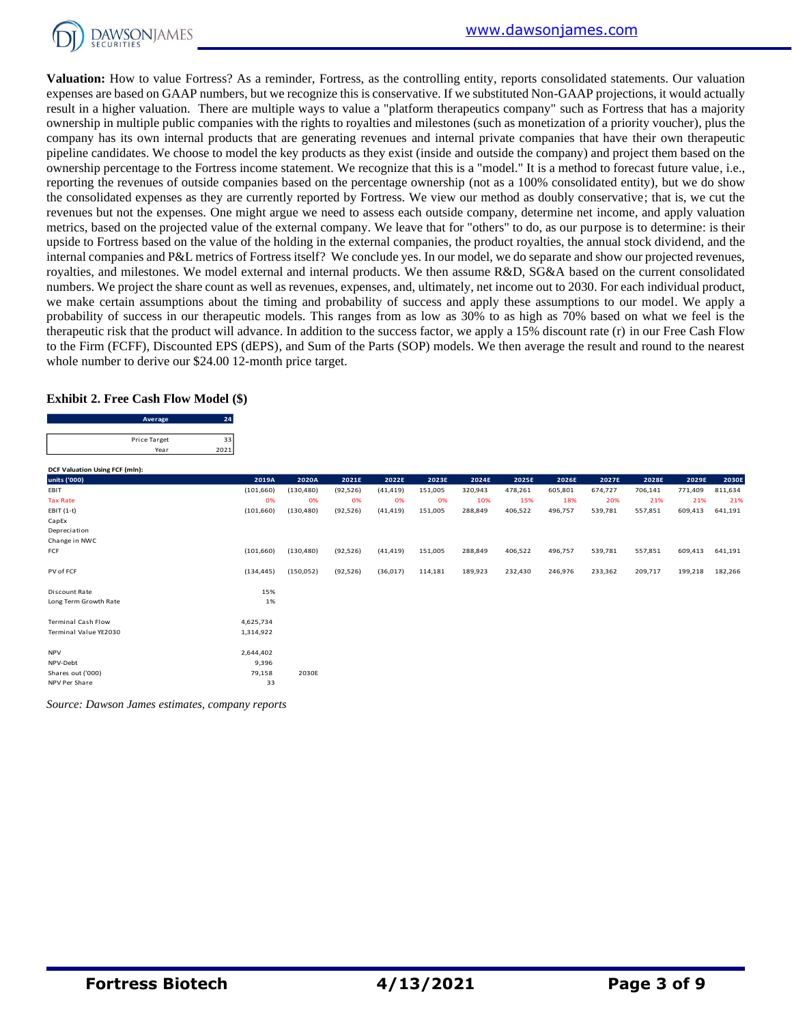

**Valuation:** How to value Fortress? As a reminder, Fortress, as the controlling entity, reports consolidated statements. Our valuation expenses are based on GAAP numbers, but we recognize this is conservative. If we substituted Non-GAAP projections, it would actually result in a higher valuation. There are multiple ways to value a "platform therapeutics company" such as Fortress that has a majority ownership in multiple public companies with the rights to royalties and milestones (such as monetization of a priority voucher), plus the company has its own internal products that are generating revenues and internal private companies that have their own therapeutic pipeline candidates. We choose to model the key products as they exist (inside and outside the company) and project them based on the ownership percentage to the Fortress income statement. We recognize that this is a "model." It is a method to forecast future value, i.e., reporting the revenues of outside companies based on the percentage ownership (not as a 100% consolidated entity), but we do show the consolidated expenses as they are currently reported by Fortress. We view our method as doubly conservative; that is, we cut the revenues but not the expenses. One might argue we need to assess each outside company, determine net income, and apply valuation metrics, based on the projected value of the external company. We leave that for "others" to do, as our purpose is to determine: is their upside to Fortress based on the value of the holding in the external companies, the product royalties, the annual stock dividend, and the internal companies and P&L metrics of Fortress itself? We conclude yes. In our model, we do separate and show our projected revenues, royalties, and milestones. We model external and internal products. We then assume R&D, SG&A based on the current consolidated numbers. We project the share count as well as revenues, expenses, and, ultimately, net income out to 2030. For each individual product, we make certain assumptions about the timing and probability of success and apply these assumptions to our model. We apply a probability of success in our therapeutic models. This ranges from as low as 30% to as high as 70% based on what we feel is the therapeutic risk that the product will advance. In addition to the success factor, we apply a 15% discount rate (r) in our Free Cash Flow to the Firm (FCFF), Discounted EPS (dEPS), and Sum of the Parts (SOP) models. We then average the result and round to the nearest whole number to derive our \$24.00 12-month price target.

#### **Exhibit 2. Free Cash Flow Model (\$)**

| Average      |     |
|--------------|-----|
|              |     |
| Price Target |     |
| Year         | 202 |

**DCF Valuation Using FCF (mln):**

| DCL AGUATION OSING LCL (HIII). |            |            |           |           |         |         |         |         |         |         |         |         |
|--------------------------------|------------|------------|-----------|-----------|---------|---------|---------|---------|---------|---------|---------|---------|
| units ('000)                   | 2019A      | 2020A      | 2021E     | 2022E     | 2023E   | 2024E   | 2025E   | 2026E   | 2027E   | 2028E   | 2029E   | 2030E   |
| EBIT                           | (101, 660) | (130, 480) | (92, 526) | (41, 419) | 151,005 | 320,943 | 478,261 | 605,801 | 674,727 | 706,141 | 771,409 | 811,634 |
| <b>Tax Rate</b>                | 0%         | 0%         | 0%        | 0%        | 0%      | 10%     | 15%     | 18%     | 20%     | 21%     | 21%     | 21%     |
| EBIT $(1-t)$                   | (101, 660) | (130, 480) | (92, 526) | (41, 419) | 151,005 | 288,849 | 406,522 | 496,757 | 539,781 | 557,851 | 609,413 | 641,191 |
| CapEx                          |            |            |           |           |         |         |         |         |         |         |         |         |
| Depreciation                   |            |            |           |           |         |         |         |         |         |         |         |         |
| Change in NWC                  |            |            |           |           |         |         |         |         |         |         |         |         |
| FCF                            | (101, 660) | (130, 480) | (92, 526) | (41, 419) | 151,005 | 288,849 | 406,522 | 496,757 | 539,781 | 557,851 | 609,413 | 641,191 |
|                                |            |            |           |           |         |         |         |         |         |         |         |         |
| PV of FCF                      | (134, 445) | (150, 052) | (92, 526) | (36,017)  | 114,181 | 189,923 | 232,430 | 246,976 | 233,362 | 209,717 | 199,218 | 182,266 |
|                                |            |            |           |           |         |         |         |         |         |         |         |         |
| Discount Rate                  | 15%        |            |           |           |         |         |         |         |         |         |         |         |
| Long Term Growth Rate          | 1%         |            |           |           |         |         |         |         |         |         |         |         |
|                                |            |            |           |           |         |         |         |         |         |         |         |         |
| <b>Terminal Cash Flow</b>      | 4,625,734  |            |           |           |         |         |         |         |         |         |         |         |
| Terminal Value YE2030          | 1,314,922  |            |           |           |         |         |         |         |         |         |         |         |
|                                |            |            |           |           |         |         |         |         |         |         |         |         |
| <b>NPV</b>                     | 2,644,402  |            |           |           |         |         |         |         |         |         |         |         |
| NPV-Debt                       | 9,396      |            |           |           |         |         |         |         |         |         |         |         |
| Shares out ('000)              | 79,158     | 2030E      |           |           |         |         |         |         |         |         |         |         |
| NPV Per Share                  | 33         |            |           |           |         |         |         |         |         |         |         |         |

*Source: Dawson James estimates, company reports*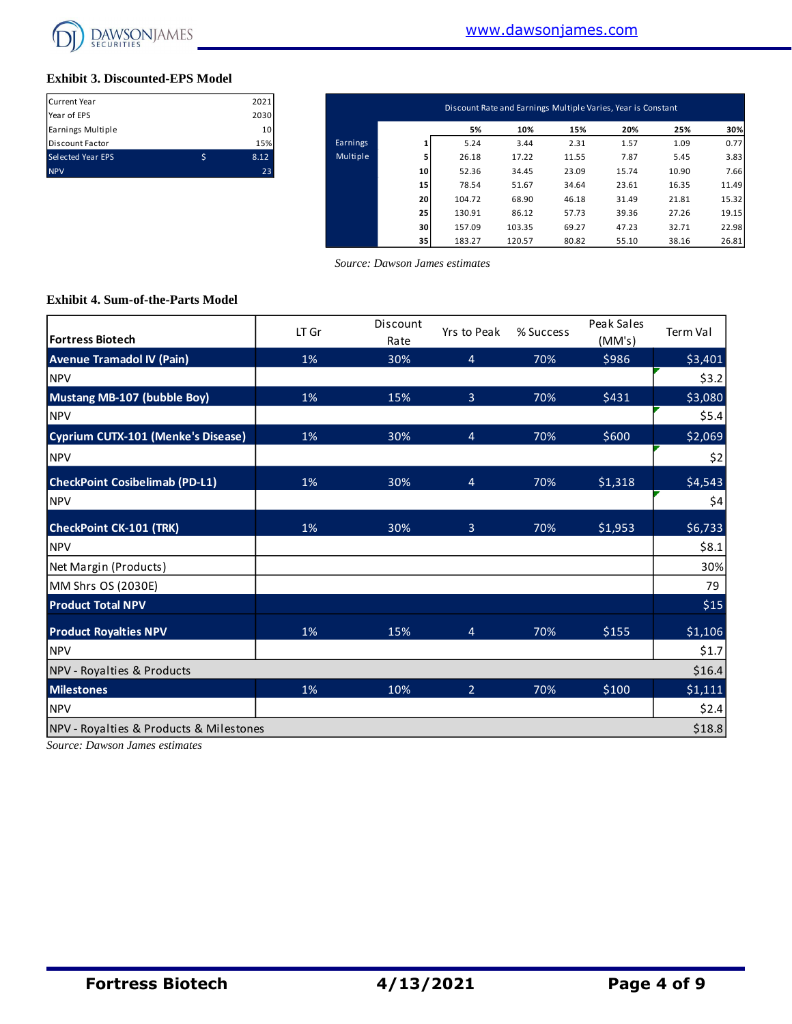

#### **Exhibit 3. Discounted-EPS Model**

| Current Year             |   | 2021 |
|--------------------------|---|------|
| Year of EPS              |   | 2030 |
| Earnings Multiple        |   | 10   |
| Discount Factor          |   | 15%  |
| <b>Selected Year EPS</b> | Ś | 8.12 |
| <b>NPV</b>               |   | 23   |

| Current Year      | 2021            |          |    |        |        | Discount Rate and Earnings Multiple Varies, Year is Constant |       |       |       |
|-------------------|-----------------|----------|----|--------|--------|--------------------------------------------------------------|-------|-------|-------|
| Year of EPS       | 2030            |          |    |        |        |                                                              |       |       |       |
| Earnings Multiple | 10 <sup>1</sup> |          |    | 5%     | 10%    | 15%                                                          | 20%   | 25%   | 30%   |
| Discount Factor   | 15%             | Earnings |    | 5.24   | 3.44   | 2.31                                                         | 1.57  | 1.09  | 0.77  |
| Selected Year EPS | \$<br>8.12      | Multiple |    | 26.18  | 17.22  | 11.55                                                        | 7.87  | 5.45  | 3.83  |
| <b>NPV</b>        | 23              |          | 10 | 52.36  | 34.45  | 23.09                                                        | 15.74 | 10.90 | 7.66  |
|                   |                 |          | 15 | 78.54  | 51.67  | 34.64                                                        | 23.61 | 16.35 | 11.49 |
|                   |                 |          | 20 | 104.72 | 68.90  | 46.18                                                        | 31.49 | 21.81 | 15.32 |
|                   |                 |          | 25 | 130.91 | 86.12  | 57.73                                                        | 39.36 | 27.26 | 19.15 |
|                   |                 |          | 30 | 157.09 | 103.35 | 69.27                                                        | 47.23 | 32.71 | 22.98 |
|                   |                 |          | 35 | 183.27 | 120.57 | 80.82                                                        | 55.10 | 38.16 | 26.81 |

 *Source: Dawson James estimates*

#### **Exhibit 4. Sum-of-the-Parts Model**

| <b>Fortress Biotech</b>                 | LT Gr | Discount<br>Rate | Yrs to Peak    | % Success | Peak Sales<br>(MM's) | Term Val |
|-----------------------------------------|-------|------------------|----------------|-----------|----------------------|----------|
| <b>Avenue Tramadol IV (Pain)</b>        | 1%    | 30%              | $\overline{4}$ | 70%       | \$986                | \$3,401  |
| <b>NPV</b>                              |       |                  |                |           |                      | \$3.2    |
| <b>Mustang MB-107 (bubble Boy)</b>      | 1%    | 15%              | $\overline{3}$ | 70%       | \$431                | \$3,080  |
| <b>NPV</b>                              |       |                  |                |           |                      | \$5.4    |
| Cyprium CUTX-101 (Menke's Disease)      | 1%    | 30%              | $\overline{4}$ | 70%       | \$600                | \$2,069  |
| <b>NPV</b>                              |       |                  |                |           |                      | \$2      |
| <b>CheckPoint Cosibelimab (PD-L1)</b>   | 1%    | 30%              | $\overline{4}$ | 70%       | \$1,318              | \$4,543  |
| <b>NPV</b>                              |       |                  |                |           |                      | \$4      |
| <b>CheckPoint CK-101 (TRK)</b>          | 1%    | 30%              | 3              | 70%       | \$1,953              | \$6,733  |
| <b>NPV</b>                              |       |                  |                |           |                      | \$8.1    |
| Net Margin (Products)                   |       |                  |                |           |                      | 30%      |
| MM Shrs OS (2030E)                      |       |                  |                |           |                      | 79       |
| <b>Product Total NPV</b>                |       |                  |                |           |                      | \$15     |
| <b>Product Royalties NPV</b>            | 1%    | 15%              | $\overline{4}$ | 70%       | \$155                | \$1,106  |
| <b>NPV</b>                              |       |                  |                |           |                      | \$1.7    |
| NPV - Royalties & Products              |       |                  |                |           |                      | \$16.4   |
| <b>Milestones</b>                       | 1%    | 10%              | $\overline{2}$ | 70%       | \$100                | \$1,111  |
| <b>NPV</b>                              |       |                  |                |           |                      | \$2.4    |
| NPV - Royalties & Products & Milestones |       |                  |                |           |                      | \$18.8   |

*Source: Dawson James estimates*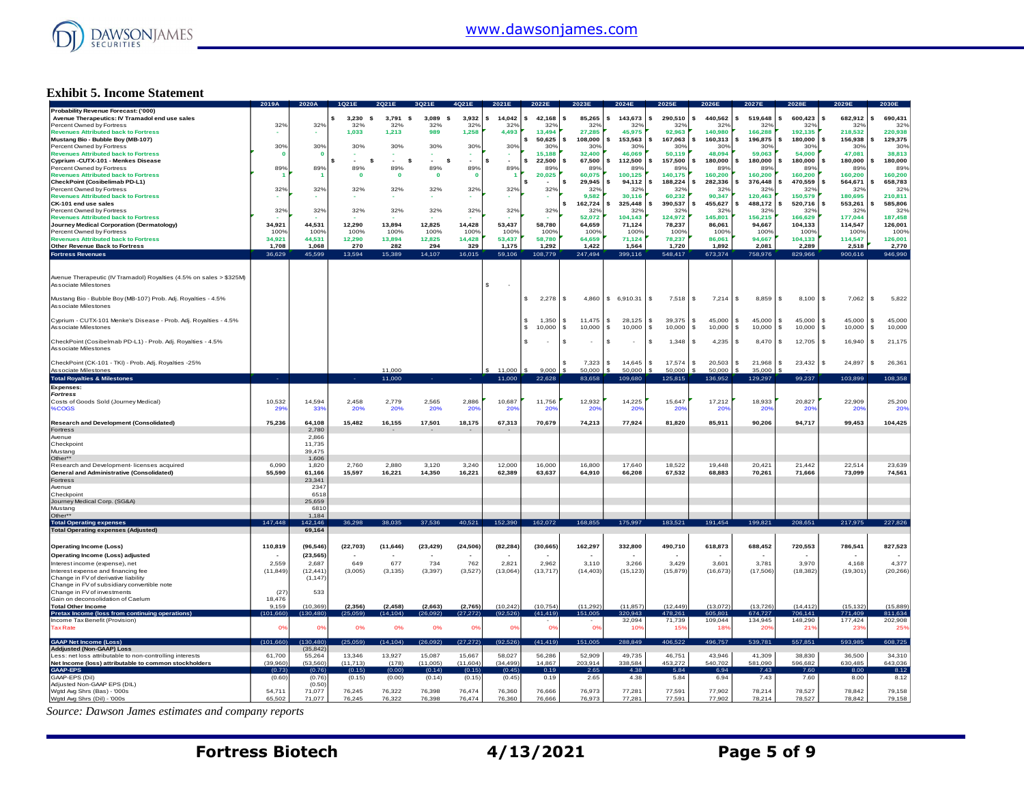

#### **Exhibit 5. Income Statement**

|                                                                                          | 2019A                     | 2020A            |                   |                  |                          |                          |                  |                  |                    |                        | 2025                      | 2026             | 2027E                      | <b>2028E</b>     |                              |                  |
|------------------------------------------------------------------------------------------|---------------------------|------------------|-------------------|------------------|--------------------------|--------------------------|------------------|------------------|--------------------|------------------------|---------------------------|------------------|----------------------------|------------------|------------------------------|------------------|
| Probability Revenue Forecast: ('000)<br>Avenue Therapeutics: IV Tramadol end use sales   |                           |                  | 3.230<br><b>s</b> | 3,791<br>- \$    | 3,089<br>s               | 3,932                    | s<br>14.042      | 42,168           | 85.265<br>s        | 143,673                | 290,510<br>\$             | 440,562          | 519,648                    | 600,423          | 682,912<br>\$.               | 690,431          |
| Percent Owned by Fortress                                                                | 32%                       | 32%              | 32%               | 32%              | 32%                      | 32%                      | 32%              | 32%              | 32%                | 32%                    | 32 <sup>o</sup>           | 32%              | 32%                        | 32%              | 32%                          | 32%              |
| <b>Revenues Attributed back to Fortress</b>                                              |                           |                  | 1.033             | 1.213            | 989                      | 1,258                    | 4,493            | 13,494           | 27,285             | 45.975                 | 92.963                    | 140.980          | 166,288                    | 192,135          | 218,532                      | 220,938          |
| Mustang Bio - Bubble Boy (MB-107)                                                        |                           |                  |                   |                  |                          |                          |                  | 50,625           | 108,000<br>\$      | 153,563                | 167,063                   | 160,313          | 196,875                    | 180,000          | 156,938                      | 129,375          |
| Percent Owned by Fortress                                                                | 30%                       | 30%              | 30%               | 30%              | 30%                      | 30%                      | 30%              | 30%              | 30%                | 30%                    | 30%                       | 30%              | 30%                        | 30%              | 30%                          | 30%              |
| <b>Revenues Attributed back to Fortress</b>                                              |                           |                  |                   |                  |                          |                          |                  | 15.188           | 32,400             | 46,069                 | 50,119                    | 48,094           | 59,063                     | 54,000           | 47,081                       | 38,813           |
| Cyprium - CUTX-101 - Menkes Disease                                                      |                           |                  | \$.<br>\$         | $\sim$<br>s      | s                        | ٠                        | \$<br>$\sim$     | 22.500           | \$.<br>67,500      | 112,500                | 157,500<br>\$             | 180,000          | 180,000                    | 180,000          | 180,000                      | 180,000          |
| Percent Owned by Fortress                                                                | 89%                       | 89%              | 89%               | 89%              | 89%                      | 89%                      | 89%              | 89%              | 89%                | 89%                    | 89%                       | 89%              | 89%                        | 89%              | 89%                          | 89%              |
| <b>Revenues Attributed back to Fortress</b>                                              |                           |                  | $\mathbf 0$       | $\mathbf{0}$     | $\mathbf 0$              | n                        |                  | 20,025           | 60.075             | 100.125                | 140.175                   | 160,200          | 160,200                    | 160,200          | 160,200                      | 160,200          |
| CheckPoint (Cosibelimab PD-L1)                                                           |                           |                  |                   |                  |                          |                          |                  |                  | 29,945<br>s        | 94,112                 | 188,224                   | 282,336          | 376,448                    | 470,559          | 564,671                      | 658,783          |
| Percent Owned by Fortress<br><b>Revenues Attributed back to Fortress</b>                 | 32%                       | 32%              | 32%               | 32%              | 32%                      | 32%                      | 32%              | 32%              | 32%<br>9,582       | 32%<br>30.116          | 32 <sup>o</sup><br>60,232 | 32%<br>90,347    | 32%<br>120,463             | 32%<br>150,579   | 32%<br>180,695               | 329<br>210,811   |
| CK-101 end use sales                                                                     |                           |                  |                   |                  |                          |                          |                  |                  | s<br>162,724       | 325,448                | 390,537                   | 455,627          | 488,172                    | 520,716          | 553,261                      | 585,806          |
| Percent Owned by Fortress                                                                | 329                       | 32%              | 32%               | 32%              | 32%                      | 32%                      | 32%              | 32%              | 32%                | 32%                    | 32%                       | 32%              | 32%                        | 32%              | 32%                          | 32%              |
| <b>Revenues Attributed back to Fortress</b>                                              |                           |                  |                   |                  |                          |                          |                  |                  | 52,072             | 104,143                | 124,972                   | 145,801          | 156,215                    | 166,629          | 177,044                      | 187,458          |
| Journey Medical Corporation (Dermatology)                                                | 34.921                    | 44.531           | 12.290            | 13.894           | 12.825                   | 14,428                   | 53.437           | 58.780           | 64,659             | 71.124                 | 78.237                    | 86.061           | 94.667                     | 104.133          | 114,547                      | 126,001          |
| Percent Owned by Fortress                                                                | 100%                      | 100%             | 100%              | 100%             | 100%                     | 100%                     | 100%             | 100%             | 100%               | 100%                   | 100%                      | 100%             | 100%                       | 100%             | 100%                         | 100%             |
| <b>Revenues Attributed back to Fortress</b>                                              | 34.921                    | 44.531           | 12,290            | 13,894           | 12,825                   | 14,428                   | 53,437           | 58,780           | 64,659             | 71.124                 | 78.237                    | 86,061           | 94.667                     | 104.133          | 114,547                      | 126,001          |
| Other Revenue Back to Fortress                                                           | 1,708                     | 1,068            | 270               | 282              | 294                      | 329                      | 1,175            | 1,292            | 1,422              | 1,564                  | 1,720                     | 1,892            | 2,081                      | 2,289            | 2,518                        | 2,770            |
| <b>Fortress Revenues</b>                                                                 | 36.629                    | 45,599           | 13,594            | 15,389           | 14,107                   | 16,015                   | 59,106           | 108,779          | 247,494            | 399,116                | 548,417                   | 673,374          | 758,976                    | 829,966          | 900,616                      | 946,990          |
|                                                                                          |                           |                  |                   |                  |                          |                          |                  |                  |                    |                        |                           |                  |                            |                  |                              |                  |
|                                                                                          |                           |                  |                   |                  |                          |                          |                  |                  |                    |                        |                           |                  |                            |                  |                              |                  |
| Avenue Therapeutic (IV Tramadol) Royalties (4.5% on sales > \$325M)                      |                           |                  |                   |                  |                          |                          |                  |                  |                    |                        |                           |                  |                            |                  |                              |                  |
| Associate Milestones                                                                     |                           |                  |                   |                  |                          |                          | s                |                  |                    |                        |                           |                  |                            |                  |                              |                  |
|                                                                                          |                           |                  |                   |                  |                          |                          |                  |                  |                    |                        |                           |                  |                            |                  |                              |                  |
| Mustang Bio - Bubble Boy (MB-107) Prob. Adj. Royalties - 4.5%                            |                           |                  |                   |                  |                          |                          |                  | 2,278            | - \$<br>4,860      | \$6,910.31             | s.<br>7,518               | 7,214            | s<br>8,859                 | 8,100            | 7,062<br>$\mathbf{s}$        | 5,822<br>-S      |
| Associate Milestones                                                                     |                           |                  |                   |                  |                          |                          |                  |                  |                    |                        |                           |                  |                            |                  |                              |                  |
|                                                                                          |                           |                  |                   |                  |                          |                          |                  |                  | 11.475             | £.                     |                           |                  |                            |                  | $\mathbf{s}$                 | $\mathbf{s}$     |
| Cyprium - CUTX-101 Menke's Disease - Prob. Adj. Royalties - 4.5%<br>Associate Milestones |                           |                  |                   |                  |                          |                          |                  | 1,350<br>10,000  | -S<br>-S<br>10,000 | 28,125<br>10,000<br>£. | 39,375<br>s.<br>\$        | 45,000<br>£.     | 45,000<br>s<br>s<br>10,000 | 45,000<br>10,000 | 45,000<br>10,000<br><b>S</b> | 45,000<br>-96    |
|                                                                                          |                           |                  |                   |                  |                          |                          |                  |                  |                    |                        | 10,000                    | 10,000           |                            |                  |                              | 10,000           |
| CheckPoint (Cosibelmab PD-L1) - Prob. Adj. Royalties - 4.5%                              |                           |                  |                   |                  |                          |                          |                  |                  | \$                 |                        | 1,348<br>\$               | 4,235            | 8,470<br>s                 | 12,705           | 16,940<br>-S                 | 21,175<br>s      |
| Associate Milestones                                                                     |                           |                  |                   |                  |                          |                          |                  |                  |                    |                        |                           |                  |                            |                  |                              |                  |
|                                                                                          |                           |                  |                   |                  |                          |                          |                  |                  |                    |                        |                           |                  |                            |                  |                              |                  |
| CheckPoint (CK-101 - TKI) - Prob. Adj. Royalties -25%                                    |                           |                  |                   |                  |                          |                          |                  |                  | 7.323              | 14.645<br>£.           | 17.574<br>s.              | 20.503           | 21,968<br>s                | 23,432           | 24,897<br>-96                | 26,361<br>-96    |
| Associate Milestones                                                                     |                           |                  |                   | 11,000           |                          |                          | 11,000           | 9,000            | 50,000             | 50,000                 | 50,000                    | 50,000           | 35,000                     |                  |                              |                  |
| <b>Total Royalties &amp; Milestones</b>                                                  |                           |                  | ۰.                | 11,000           |                          |                          | 11,000           | 22,628           | 83,658             | 109,680                | 125,815                   | 136,952          | 129,297                    | 99,237           | 103,899                      | 108,358          |
| <b>Expenses:</b>                                                                         |                           |                  |                   |                  |                          |                          |                  |                  |                    |                        |                           |                  |                            |                  |                              |                  |
| <b>Fortress</b>                                                                          |                           |                  |                   |                  |                          |                          |                  |                  |                    |                        |                           |                  |                            |                  |                              |                  |
| Costs of Goods Sold (Journey Medical)                                                    | 10,532                    | 14,594           | 2,458             | 2,779            | 2,565                    | 2,886                    | 10,687           | 11,756           | 12,932             | 14,225                 | 15,647                    | 17,212           | 18,933                     | 20,827           | 22,909                       | 25,200           |
| %COGS                                                                                    | 29'                       | 339              | 20%               | 20%              | 20%                      | <b>20%</b>               | :209             | 20%              | 20%                | 20 <sup>6</sup>        | <b>209</b>                | 20 <sup>o</sup>  | :209                       | 20%              | 20 <sup>6</sup>              | 20%              |
|                                                                                          |                           |                  |                   |                  |                          |                          |                  |                  |                    |                        |                           |                  |                            |                  |                              |                  |
| <b>Research and Development (Consolidated)</b>                                           | 75,236                    | 64,108           | 15,482            | 16,155           | 17,501                   | 18,175                   | 67,313           | 70,679           | 74,213             | 77,924                 | 81,820                    | 85,911           | 90,206                     | 94,717           | 99,453                       | 104,425          |
| Fortress                                                                                 |                           | 2,780            |                   |                  |                          | $\overline{\phantom{a}}$ |                  |                  |                    |                        |                           |                  |                            |                  |                              |                  |
| Avenue                                                                                   |                           | 2.866            |                   |                  |                          |                          |                  |                  |                    |                        |                           |                  |                            |                  |                              |                  |
| Checkpoint                                                                               |                           | 11,735           |                   |                  |                          |                          |                  |                  |                    |                        |                           |                  |                            |                  |                              |                  |
| Mustang<br>Other**                                                                       |                           | 39.475<br>1,606  |                   |                  |                          |                          |                  |                  |                    |                        |                           |                  |                            |                  |                              |                  |
| Research and Development- licenses acquired                                              | 6.090                     | 1,820            | 2.760             | 2.880            | 3.120                    | 3.240                    | 12,000           | 16,000           | 16.800             | 17,640                 | 18,522                    | 19.448           | 20.421                     | 21.442           | 22,514                       | 23,639           |
| <b>General and Administrative (Consolidated)</b>                                         | 55.590                    | 61.166           | 15.597            | 16,221           | 14,350                   | 16,221                   | 62,389           | 63,637           | 64,910             | 66,208                 | 67,532                    | 68,883           | 70,261                     | 71.666           | 73.099                       | 74,561           |
| Fortress                                                                                 |                           | 23,341           |                   |                  |                          |                          |                  |                  |                    |                        |                           |                  |                            |                  |                              |                  |
| Avenue                                                                                   |                           | 2347             |                   |                  |                          |                          |                  |                  |                    |                        |                           |                  |                            |                  |                              |                  |
| Checkpoint                                                                               |                           | 6518             |                   |                  |                          |                          |                  |                  |                    |                        |                           |                  |                            |                  |                              |                  |
| Journey Medical Corp. (SG&A)                                                             |                           | 25.659           |                   |                  |                          |                          |                  |                  |                    |                        |                           |                  |                            |                  |                              |                  |
| Mustang                                                                                  |                           | 681              |                   |                  |                          |                          |                  |                  |                    |                        |                           |                  |                            |                  |                              |                  |
| Other**                                                                                  |                           | 1,184            |                   |                  |                          |                          |                  |                  |                    |                        |                           |                  |                            |                  |                              |                  |
| <b>Total Operating expenses</b>                                                          | 147,448                   | 42,146           | 36,298            | 38.035           | 37,536                   | 40,521                   | 152,390          | 162,072          | 168,855            | 175,997                | 183,521                   | 191,454          | 199,821                    | 208,651          | 217,975                      | 227,826          |
| <b>Total Operating expenses (Adjusted)</b>                                               |                           | 69,164           |                   |                  |                          |                          |                  |                  |                    |                        |                           |                  |                            |                  |                              |                  |
|                                                                                          |                           |                  |                   |                  |                          |                          |                  |                  |                    |                        |                           |                  |                            |                  |                              |                  |
| <b>Operating Income (Loss)</b>                                                           | 110,819                   | (96, 546)        | (22, 703)         | (11, 646)        | (23, 429)                | (24, 506)                | (82, 284)        | (30, 665)        | 162,297            | 332,800                | 490,710                   | 618,873          | 688,452                    | 720,553          | 786,541                      | 827,523          |
| Operating Income (Loss) adjusted                                                         |                           | (23, 565)        |                   |                  | $\overline{\phantom{a}}$ |                          |                  |                  |                    |                        |                           |                  |                            |                  |                              |                  |
| Interest income (expense), net                                                           | 2.559                     | 2,687            | 649               | 677              | 734                      | 762                      | 2.821            | 2.962            | 3,110              | 3,266                  | 3.429                     | 3.601            | 3,781                      | 3.970            | 4,168                        | 4,377            |
| Interest expense and financing fee                                                       | (11, 849)                 | (12, 441)        | (3,005)           | (3, 135)         | (3, 397)                 | (3, 527)                 | (13,064)         | (13, 717)        | (14, 403)          | (15, 123)              | (15, 879)                 | (16, 673)        | (17,506)                   | (18, 382)        | (19, 301)                    | (20, 266)        |
| Change in FV of derivative liability                                                     |                           | (1, 147)         |                   |                  |                          |                          |                  |                  |                    |                        |                           |                  |                            |                  |                              |                  |
| Change in FV of subsidiary convertible note                                              |                           |                  |                   |                  |                          |                          |                  |                  |                    |                        |                           |                  |                            |                  |                              |                  |
| Change in FV of investments<br>Gain on deconsolidation of Caelum                         | (27)<br>18,476            | 533              |                   |                  |                          |                          |                  |                  |                    |                        |                           |                  |                            |                  |                              |                  |
| <b>Total Other Income</b>                                                                | 9,159                     | (10, 369)        | (2, 356)          | (2, 458)         | (2,663)                  | (2,765)                  | (10, 242)        | (10, 754)        | (11, 292)          | (11, 857)              | (12, 449)                 | (13,072)         | (13, 726)                  | (14, 412)        | (15, 132)                    | (15, 889)        |
| Pretax Income (loss from continuing operations)                                          | (101.660)                 | (130, 480)       | (25.059)          | (14.104)         | 26.092                   | (27, 272)                | (92.526)         | (41, 419)        | 151,005            | 320,943                | 478,261                   | 605,801          | 674,727                    | 706,141          | 771.409                      | 811,634          |
| Income Tax Benefit (Provision)                                                           |                           |                  |                   |                  |                          |                          |                  |                  |                    | 32,094                 | 71,739                    | 109,044          | 134,945                    | 148,290          | 177,424                      | 202,908          |
| <b>Tax Rate</b>                                                                          | $\mathbf{O}^{\mathsf{s}}$ | 0 <sup>9</sup>   | 0%                | 0%               | 0%                       | 0%                       | O <sup>5</sup>   | 0%               | 0%                 | 10%                    | 15%                       | 18%              | 20%                        | 21%              | 23%                          | 25%              |
|                                                                                          |                           |                  |                   |                  |                          |                          |                  |                  |                    |                        |                           |                  |                            |                  |                              |                  |
| <b>GAAP Net Income (Loss)</b>                                                            | (101, 660)                | (130.480)        | (25,059)          | (14, 104)        | (26,092)                 | (27, 272)                | (92, 526)        | (41, 419)        | 151,005            | 288,849                | 406,522                   | 496,757          | 539,781                    | 557,851          | 593,985                      | 608,725          |
| Addjusted (Non-GAAP) Loss                                                                |                           | (35, 842)        |                   |                  |                          |                          |                  |                  |                    |                        |                           |                  |                            |                  |                              |                  |
| Less: net loss attributable to non-controlling interests                                 | 61,700                    | 55,264           | 13,346            | 13,927           | 15,087                   | 15,667                   | 58,027           | 56,286           | 52,909             | 49,735                 | 46,751                    | 43.946           | 41.309                     | 38.830           | 36,500                       | 34,310           |
| Net Income (loss) attributable to common stockholders                                    | (39,960)                  | (53, 560)        | (11, 713)         | (178)            | (11,005)                 | (11,604)                 | (34, 499)        | 14,867           | 203,914            | 338,584                | 453,272                   | 540,702          | 581,090                    | 596,682          | 630,485                      | 643,036          |
|                                                                                          |                           |                  |                   |                  |                          |                          |                  |                  |                    |                        |                           |                  |                            |                  |                              |                  |
| <b>GAAP-EPS</b>                                                                          | (0.73)                    | (0.76)           | (0.15)            | (0.00)           | (0.14)                   | (0.15)                   | (0.45)           | 0.19             | 2.65               | 4.38                   | 5.84                      | 6.94             | 7.43                       | 7.60             | 8.00                         | 8.12             |
| GAAP-EPS (Dil)                                                                           | (0.60)                    | (0.76)           | (0.15)            | (0.00)           | (0.14)                   | (0.15)                   | (0.45)           | 0.19             | 2.65               | 4.38                   | 5.84                      | 6.94             | 7.43                       | 7.60             | 8.00                         | 8.12             |
| Adjusted Non-GAAP EPS (DIL)                                                              |                           | (0.50)           |                   |                  |                          |                          |                  |                  |                    |                        |                           |                  |                            |                  |                              |                  |
| Wgtd Avg Shrs (Bas) - '000s<br>Wgtd Avg Shrs (Dil) - '000s                               | 54.711<br>65,502          | 71,077<br>71,077 | 76.245<br>76,245  | 76.322<br>76,322 | 76.398<br>76,398         | 76.474<br>76,474         | 76,360<br>76,360 | 76.666<br>76,666 | 76.973<br>76,973   | 77,281<br>77,281       | 77.591<br>77,591          | 77.902<br>77,902 | 78,214<br>78.214           | 78.527<br>78,527 | 78.842<br>78,842             | 79.158<br>79,158 |

*Source: Dawson James estimates and company reports*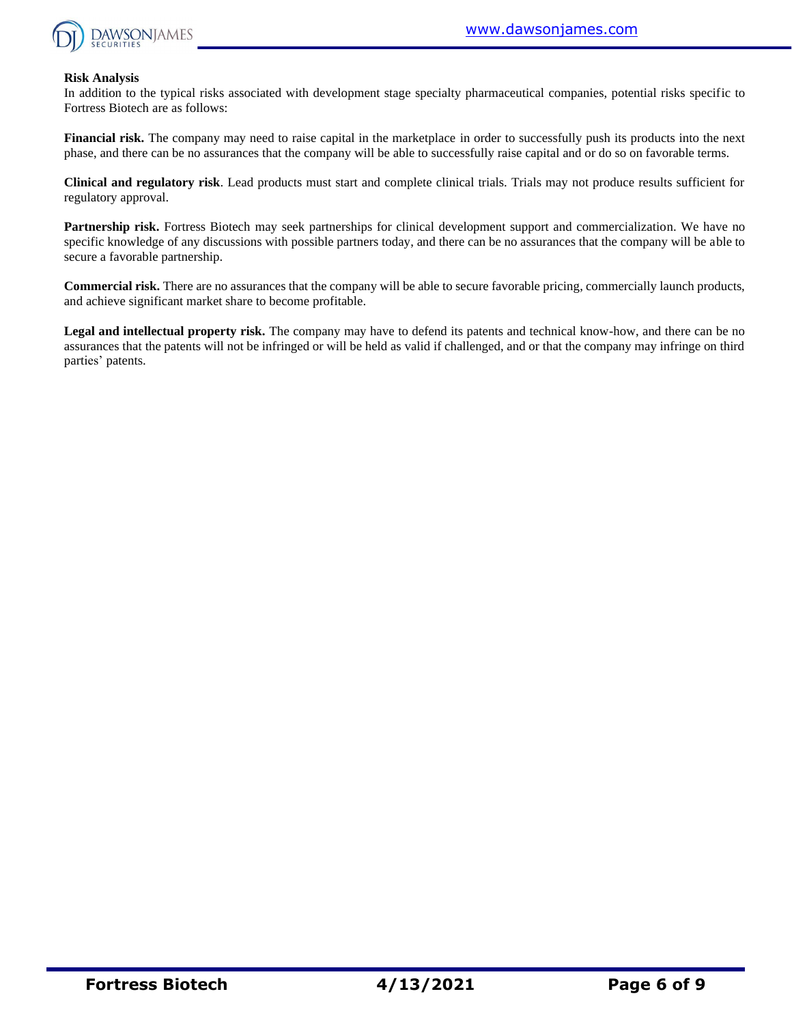

#### **Risk Analysis**

In addition to the typical risks associated with development stage specialty pharmaceutical companies, potential risks specific to Fortress Biotech are as follows:

**Financial risk.** The company may need to raise capital in the marketplace in order to successfully push its products into the next phase, and there can be no assurances that the company will be able to successfully raise capital and or do so on favorable terms.

**Clinical and regulatory risk**. Lead products must start and complete clinical trials. Trials may not produce results sufficient for regulatory approval.

**Partnership risk.** Fortress Biotech may seek partnerships for clinical development support and commercialization. We have no specific knowledge of any discussions with possible partners today, and there can be no assurances that the company will be able to secure a favorable partnership.

**Commercial risk.** There are no assurances that the company will be able to secure favorable pricing, commercially launch products, and achieve significant market share to become profitable.

**Legal and intellectual property risk.** The company may have to defend its patents and technical know-how, and there can be no assurances that the patents will not be infringed or will be held as valid if challenged, and or that the company may infringe on third parties' patents.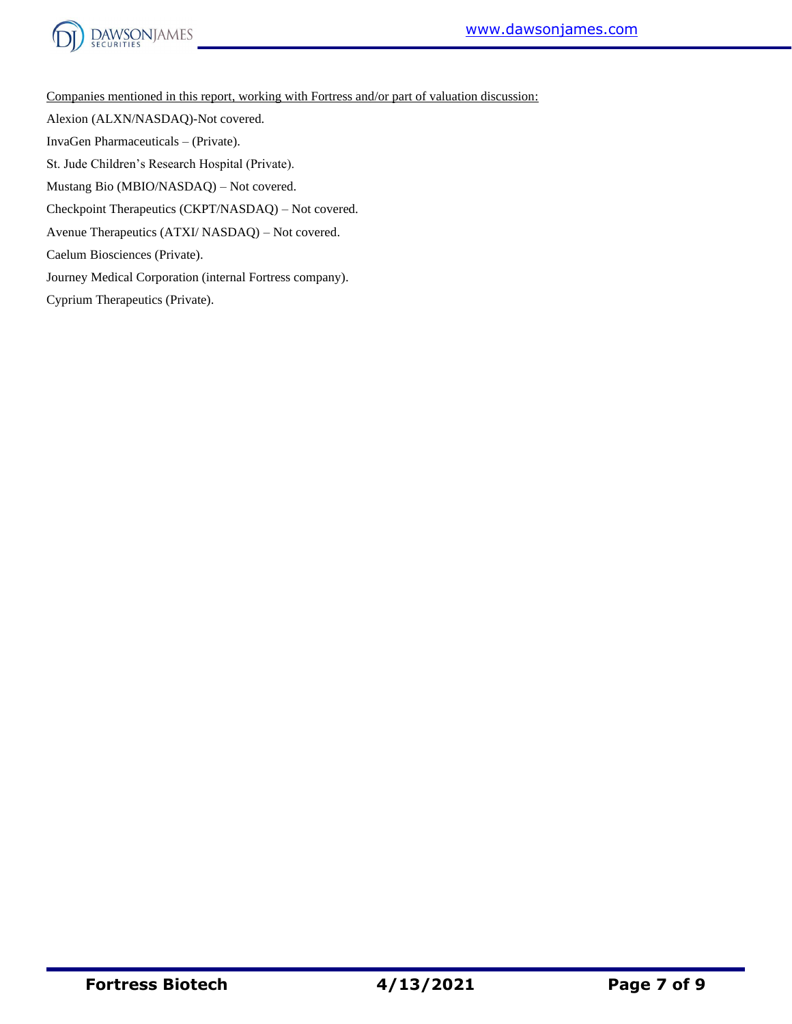



Companies mentioned in this report, working with Fortress and/or part of valuation discussion:

Alexion (ALXN/NASDAQ)-Not covered.

InvaGen Pharmaceuticals – (Private).

St. Jude Children's Research Hospital (Private).

Mustang Bio (MBIO/NASDAQ) – Not covered.

Checkpoint Therapeutics (CKPT/NASDAQ) – Not covered.

Avenue Therapeutics (ATXI/ NASDAQ) – Not covered.

Caelum Biosciences (Private).

Journey Medical Corporation (internal Fortress company).

Cyprium Therapeutics (Private).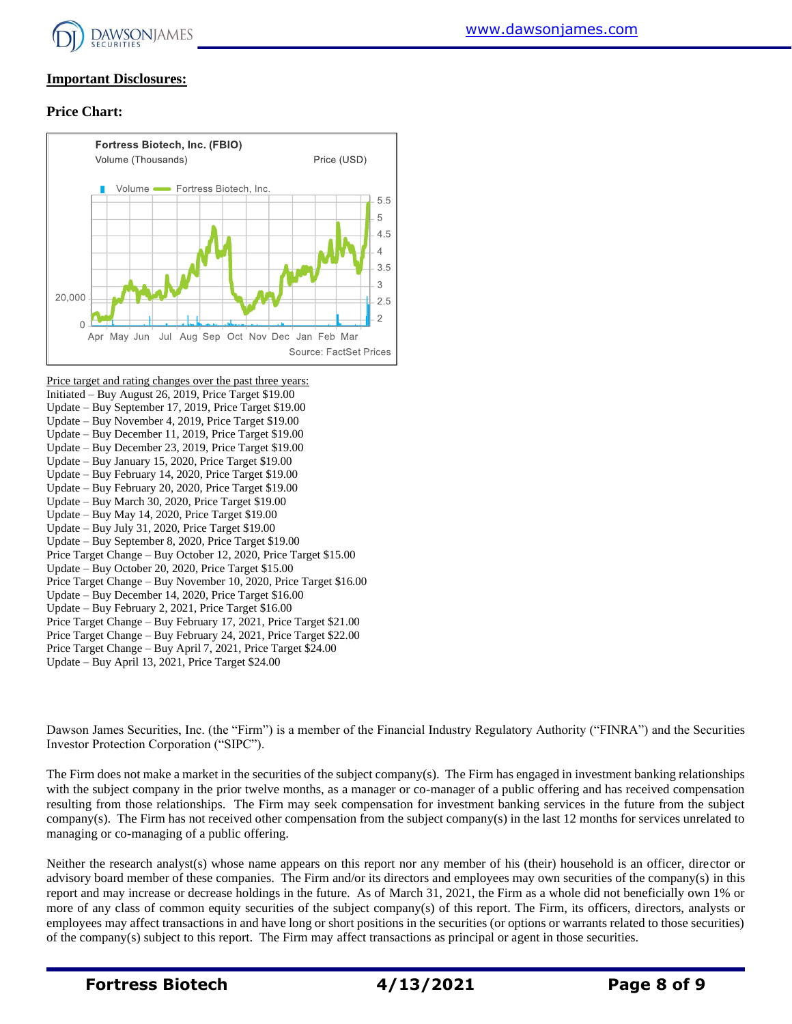

#### **Important Disclosures:**

#### **Price Chart:**



Price target and rating changes over the past three years: Initiated – Buy August 26, 2019, Price Target \$19.00 Update – Buy September 17, 2019, Price Target \$19.00 Update – Buy November 4, 2019, Price Target \$19.00 Update – Buy December 11, 2019, Price Target \$19.00 Update – Buy December 23, 2019, Price Target \$19.00 Update – Buy January 15, 2020, Price Target \$19.00 Update – Buy February 14, 2020, Price Target \$19.00 Update – Buy February 20, 2020, Price Target \$19.00 Update – Buy March 30, 2020, Price Target \$19.00 Update – Buy May 14, 2020, Price Target \$19.00 Update – Buy July 31, 2020, Price Target \$19.00 Update – Buy September 8, 2020, Price Target \$19.00 Price Target Change – Buy October 12, 2020, Price Target \$15.00 Update – Buy October 20, 2020, Price Target \$15.00 Price Target Change – Buy November 10, 2020, Price Target \$16.00 Update – Buy December 14, 2020, Price Target \$16.00 Update – Buy February 2, 2021, Price Target \$16.00 Price Target Change – Buy February 17, 2021, Price Target \$21.00 Price Target Change – Buy February 24, 2021, Price Target \$22.00 Price Target Change – Buy April 7, 2021, Price Target \$24.00 Update – Buy April 13, 2021, Price Target \$24.00

Dawson James Securities, Inc. (the "Firm") is a member of the Financial Industry Regulatory Authority ("FINRA") and the Securities Investor Protection Corporation ("SIPC").

The Firm does not make a market in the securities of the subject company(s). The Firm has engaged in investment banking relationships with the subject company in the prior twelve months, as a manager or co-manager of a public offering and has received compensation resulting from those relationships. The Firm may seek compensation for investment banking services in the future from the subject company(s). The Firm has not received other compensation from the subject company(s) in the last 12 months for services unrelated to managing or co-managing of a public offering.

Neither the research analyst(s) whose name appears on this report nor any member of his (their) household is an officer, director or advisory board member of these companies. The Firm and/or its directors and employees may own securities of the company(s) in this report and may increase or decrease holdings in the future. As of March 31, 2021, the Firm as a whole did not beneficially own 1% or more of any class of common equity securities of the subject company(s) of this report. The Firm, its officers, directors, analysts or employees may affect transactions in and have long or short positions in the securities (or options or warrants related to those securities) of the company(s) subject to this report. The Firm may affect transactions as principal or agent in those securities.